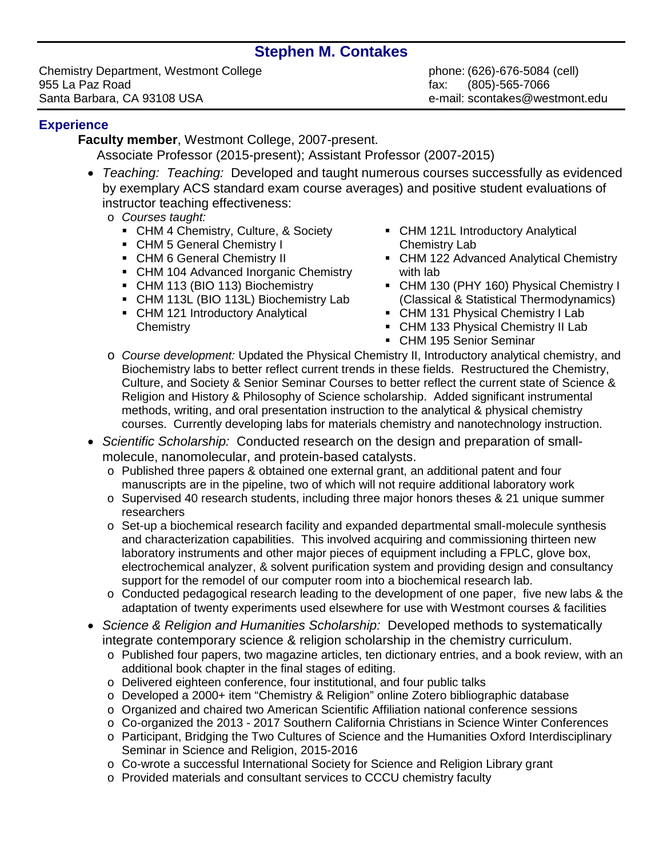# **Stephen M. Contakes**

Chemistry Department, Westmont College phone: (626)-676-5084 (cell) 955 La Paz Road<br>
Santa Barbara. CA 93108 USA entrana and the santa fax: (805)-565-7066<br>
Santa Barbara. CA 93108 USA

e-mail: scontakes@westmont.edu

#### **Experience**

**Faculty member**, Westmont College, 2007-present. Associate Professor (2015-present); Assistant Professor (2007-2015)

- *Teaching: Teaching:* Developed and taught numerous courses successfully as evidenced by exemplary ACS standard exam course averages) and positive student evaluations of instructor teaching effectiveness:
	- o *Courses taught:*
		- CHM 4 Chemistry, Culture, & Society
		- CHM 5 General Chemistry I
		- CHM 6 General Chemistry II
		- CHM 104 Advanced Inorganic Chemistry
		- CHM 113 (BIO 113) Biochemistry
		- CHM 113L (BIO 113L) Biochemistry Lab
		- CHM 121 Introductory Analytical **Chemistry**
- **CHM 121L Introductory Analytical** Chemistry Lab
- CHM 122 Advanced Analytical Chemistry with lab
- CHM 130 (PHY 160) Physical Chemistry I (Classical & Statistical Thermodynamics)
- CHM 131 Physical Chemistry I Lab
- CHM 133 Physical Chemistry II Lab
- CHM 195 Senior Seminar
- o *Course development:* Updated the Physical Chemistry II, Introductory analytical chemistry, and Biochemistry labs to better reflect current trends in these fields. Restructured the Chemistry, Culture, and Society & Senior Seminar Courses to better reflect the current state of Science & Religion and History & Philosophy of Science scholarship. Added significant instrumental methods, writing, and oral presentation instruction to the analytical & physical chemistry courses. Currently developing labs for materials chemistry and nanotechnology instruction.
- *Scientific Scholarship:* Conducted research on the design and preparation of smallmolecule, nanomolecular, and protein-based catalysts.
	- o Published three papers & obtained one external grant, an additional patent and four manuscripts are in the pipeline, two of which will not require additional laboratory work
	- o Supervised 40 research students, including three major honors theses & 21 unique summer researchers
	- o Set-up a biochemical research facility and expanded departmental small-molecule synthesis and characterization capabilities. This involved acquiring and commissioning thirteen new laboratory instruments and other major pieces of equipment including a FPLC, glove box, electrochemical analyzer, & solvent purification system and providing design and consultancy support for the remodel of our computer room into a biochemical research lab.
	- o Conducted pedagogical research leading to the development of one paper, five new labs & the adaptation of twenty experiments used elsewhere for use with Westmont courses & facilities
- *Science & Religion and Humanities Scholarship:* Developed methods to systematically integrate contemporary science & religion scholarship in the chemistry curriculum.
	- o Published four papers, two magazine articles, ten dictionary entries, and a book review, with an additional book chapter in the final stages of editing.
	- o Delivered eighteen conference, four institutional, and four public talks
	- o Developed a 2000+ item "Chemistry & Religion" online Zotero bibliographic database
	- o Organized and chaired two American Scientific Affiliation national conference sessions
	- o Co-organized the 2013 2017 Southern California Christians in Science Winter Conferences
	- o Participant, Bridging the Two Cultures of Science and the Humanities Oxford Interdisciplinary Seminar in Science and Religion, 2015-2016
	- o Co-wrote a successful International Society for Science and Religion Library grant
	- o Provided materials and consultant services to CCCU chemistry faculty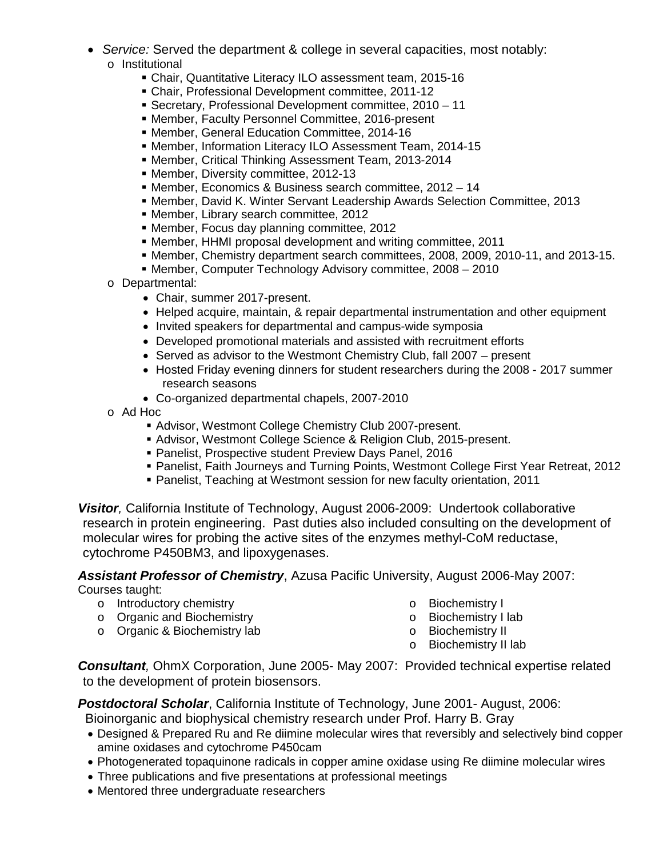- *Service:* Served the department & college in several capacities, most notably: o Institutional
	- Chair, Quantitative Literacy ILO assessment team, 2015-16
	- Chair, Professional Development committee, 2011-12
	- Secretary, Professional Development committee, 2010 11
	- Member, Faculty Personnel Committee, 2016-present
	- Member, General Education Committee, 2014-16
	- Member, Information Literacy ILO Assessment Team, 2014-15
	- Member, Critical Thinking Assessment Team, 2013-2014
	- Member, Diversity committee, 2012-13
	- Member, Economics & Business search committee, 2012 14
	- **Member, David K. Winter Servant Leadership Awards Selection Committee, 2013**
	- Member, Library search committee, 2012
	- **Member, Focus day planning committee, 2012**
	- Member, HHMI proposal development and writing committee, 2011
	- Member, Chemistry department search committees, 2008, 2009, 2010-11, and 2013-15.
	- Member, Computer Technology Advisory committee, 2008 2010
	- o Departmental:
		- Chair, summer 2017-present.
		- Helped acquire, maintain, & repair departmental instrumentation and other equipment
		- Invited speakers for departmental and campus-wide symposia
		- Developed promotional materials and assisted with recruitment efforts
		- Served as advisor to the Westmont Chemistry Club, fall 2007 present
		- Hosted Friday evening dinners for student researchers during the 2008 2017 summer research seasons
		- Co-organized departmental chapels, 2007-2010
	- o Ad Hoc
		- Advisor, Westmont College Chemistry Club 2007-present.
		- Advisor, Westmont College Science & Religion Club, 2015-present.
		- Panelist, Prospective student Preview Days Panel, 2016
		- Panelist, Faith Journeys and Turning Points, Westmont College First Year Retreat, 2012
		- Panelist, Teaching at Westmont session for new faculty orientation, 2011

*Visitor,* California Institute of Technology, August 2006-2009: Undertook collaborative research in protein engineering. Past duties also included consulting on the development of molecular wires for probing the active sites of the enzymes methyl-CoM reductase, cytochrome P450BM3, and lipoxygenases.

*Assistant Professor of Chemistry*, Azusa Pacific University, August 2006-May 2007: Courses taught:

- o Introductory chemistry
- o Organic and Biochemistry
- o Organic & Biochemistry lab
- o Biochemistry I
- o Biochemistry I lab
- o Biochemistry II
- o Biochemistry II lab

*Consultant,* OhmX Corporation, June 2005- May 2007: Provided technical expertise related to the development of protein biosensors.

*Postdoctoral Scholar*, California Institute of Technology, June 2001- August, 2006: Bioinorganic and biophysical chemistry research under Prof. Harry B. Gray

- Designed & Prepared Ru and Re diimine molecular wires that reversibly and selectively bind copper amine oxidases and cytochrome P450cam
- Photogenerated topaquinone radicals in copper amine oxidase using Re diimine molecular wires
- Three publications and five presentations at professional meetings
- Mentored three undergraduate researchers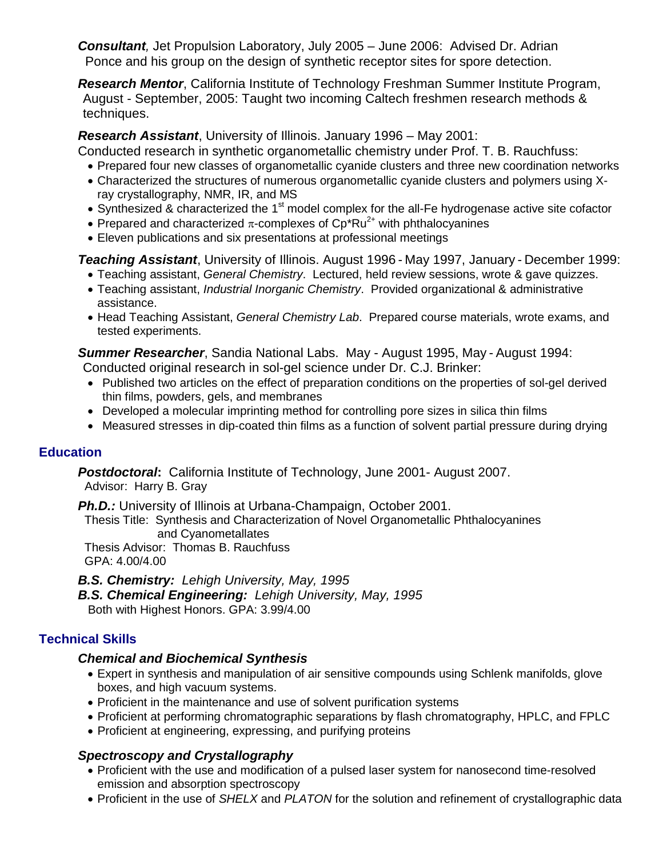*Consultant,* Jet Propulsion Laboratory, July 2005 – June 2006: Advised Dr. Adrian Ponce and his group on the design of synthetic receptor sites for spore detection.

*Research Mentor*, California Institute of Technology Freshman Summer Institute Program, August - September, 2005: Taught two incoming Caltech freshmen research methods & techniques.

*Research Assistant*, University of Illinois. January 1996 – May 2001:

Conducted research in synthetic organometallic chemistry under Prof. T. B. Rauchfuss:

- Prepared four new classes of organometallic cyanide clusters and three new coordination networks
- Characterized the structures of numerous organometallic cyanide clusters and polymers using Xray crystallography, NMR, IR, and MS
- Synthesized & characterized the  $1<sup>st</sup>$  model complex for the all-Fe hydrogenase active site cofactor
- Prepared and characterized  $\pi$ -complexes of Cp<sup>\*</sup>Ru<sup>2+</sup> with phthalocyanines
- Eleven publications and six presentations at professional meetings

*Teaching Assistant*, University of Illinois. August 1996 - May 1997, January - December 1999:

- Teaching assistant, *General Chemistry*. Lectured, held review sessions, wrote & gave quizzes.
- Teaching assistant, *Industrial Inorganic Chemistry*. Provided organizational & administrative assistance.
- Head Teaching Assistant, *General Chemistry Lab*. Prepared course materials, wrote exams, and tested experiments.

*Summer Researcher*, Sandia National Labs. May - August 1995, May - August 1994:

Conducted original research in sol-gel science under Dr. C.J. Brinker:

- Published two articles on the effect of preparation conditions on the properties of sol-gel derived thin films, powders, gels, and membranes
- Developed a molecular imprinting method for controlling pore sizes in silica thin films
- Measured stresses in dip-coated thin films as a function of solvent partial pressure during drying

## **Education**

*Postdoctoral***:** California Institute of Technology, June 2001- August 2007. Advisor: Harry B. Gray

**Ph.D.:** University of Illinois at Urbana-Champaign, October 2001.

 Thesis Title: Synthesis and Characterization of Novel Organometallic Phthalocyanines and Cyanometallates

 Thesis Advisor: Thomas B. Rauchfuss GPA: 4.00/4.00

*B.S. Chemistry: Lehigh University, May, 1995*

*B.S. Chemical Engineering: Lehigh University, May, 1995* Both with Highest Honors. GPA: 3.99/4.00

# **Technical Skills**

## *Chemical and Biochemical Synthesis*

- Expert in synthesis and manipulation of air sensitive compounds using Schlenk manifolds, glove boxes, and high vacuum systems.
- Proficient in the maintenance and use of solvent purification systems
- Proficient at performing chromatographic separations by flash chromatography, HPLC, and FPLC
- Proficient at engineering, expressing, and purifying proteins

## *Spectroscopy and Crystallography*

- Proficient with the use and modification of a pulsed laser system for nanosecond time-resolved emission and absorption spectroscopy
- Proficient in the use of *SHELX* and *PLATON* for the solution and refinement of crystallographic data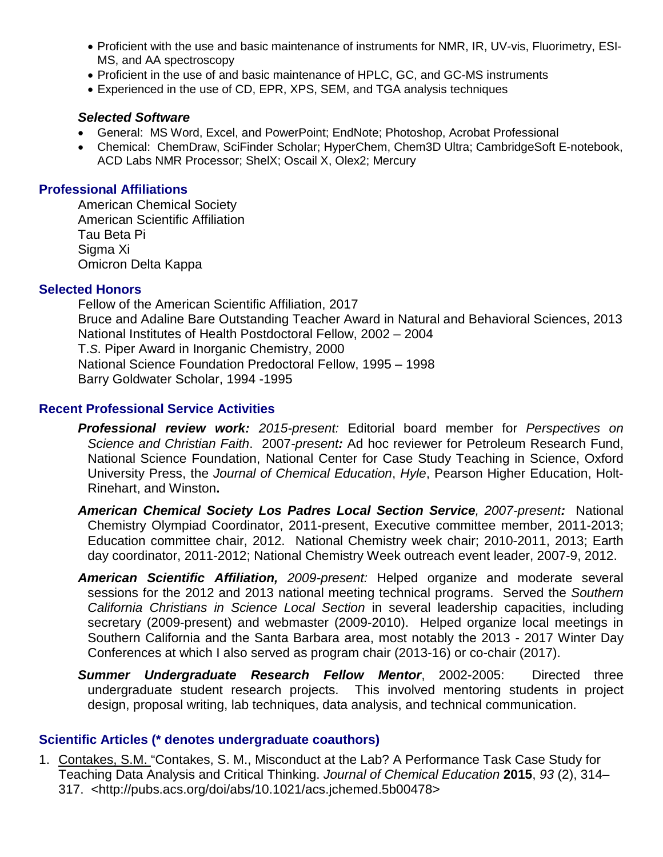- Proficient with the use and basic maintenance of instruments for NMR, IR, UV-vis, Fluorimetry, ESI-MS, and AA spectroscopy
- Proficient in the use of and basic maintenance of HPLC, GC, and GC-MS instruments
- Experienced in the use of CD, EPR, XPS, SEM, and TGA analysis techniques

#### *Selected Software*

- General: MS Word, Excel, and PowerPoint; EndNote; Photoshop, Acrobat Professional
- Chemical: ChemDraw, SciFinder Scholar; HyperChem, Chem3D Ultra; CambridgeSoft E-notebook, ACD Labs NMR Processor; ShelX; Oscail X, Olex2; Mercury

#### **Professional Affiliations**

American Chemical Society American Scientific Affiliation Tau Beta Pi Sigma Xi Omicron Delta Kappa

#### **Selected Honors**

Fellow of the American Scientific Affiliation, 2017 Bruce and Adaline Bare Outstanding Teacher Award in Natural and Behavioral Sciences, 2013 National Institutes of Health Postdoctoral Fellow, 2002 – 2004 T.*S*. Piper Award in Inorganic Chemistry, 2000 National Science Foundation Predoctoral Fellow, 1995 – 1998 Barry Goldwater Scholar, 1994 -1995

#### **Recent Professional Service Activities**

- *Professional review work: 2015-present:* Editorial board member for *Perspectives on Science and Christian Faith*. 2007*-present:* Ad hoc reviewer for Petroleum Research Fund, National Science Foundation, National Center for Case Study Teaching in Science, Oxford University Press, the *Journal of Chemical Education*, *Hyle*, Pearson Higher Education, Holt-Rinehart, and Winston**.**
- *American Chemical Society Los Padres Local Section Service, 2007-present:* National Chemistry Olympiad Coordinator, 2011-present, Executive committee member, 2011-2013; Education committee chair, 2012. National Chemistry week chair; 2010-2011, 2013; Earth day coordinator, 2011-2012; National Chemistry Week outreach event leader, 2007-9, 2012.
- *American Scientific Affiliation, 2009-present:* Helped organize and moderate several sessions for the 2012 and 2013 national meeting technical programs. Served the *Southern California Christians in Science Local Section* in several leadership capacities, including secretary (2009-present) and webmaster (2009-2010). Helped organize local meetings in Southern California and the Santa Barbara area, most notably the 2013 - 2017 Winter Day Conferences at which I also served as program chair (2013-16) or co-chair (2017).
- *Summer Undergraduate Research Fellow Mentor*, 2002-2005: Directed three undergraduate student research projects. This involved mentoring students in project design, proposal writing, lab techniques, data analysis, and technical communication.

#### **Scientific Articles (\* denotes undergraduate coauthors)**

1. Contakes, S.M. "Contakes, S. M., Misconduct at the Lab? A Performance Task Case Study for Teaching Data Analysis and Critical Thinking. *Journal of Chemical Education* **2015**, *93* (2), 314– 317. <http://pubs.acs.org/doi/abs/10.1021/acs.jchemed.5b00478>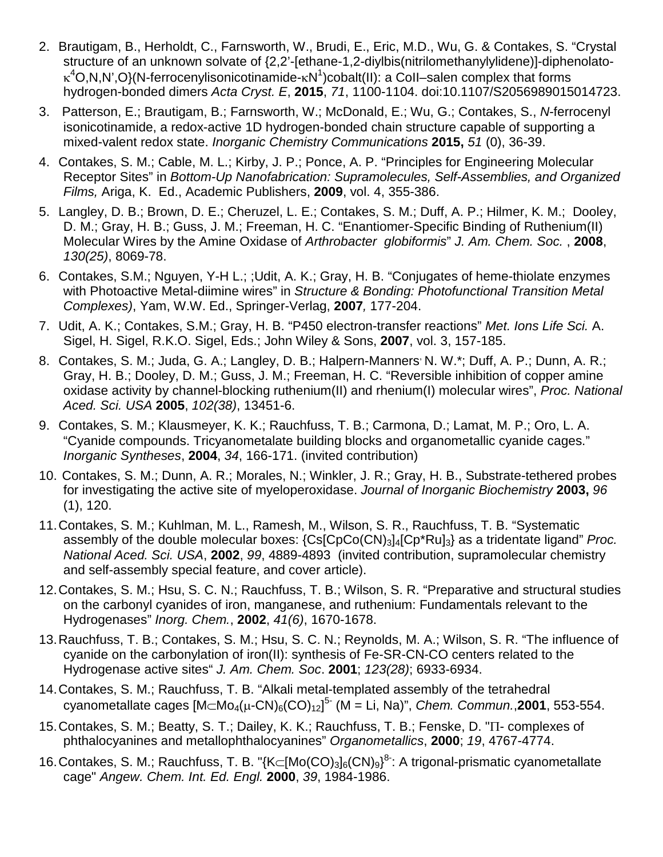- 2. Brautigam, B., Herholdt, C., Farnsworth, W., Brudi, E., Eric, M.D., Wu, G. & Contakes, S. "Crystal structure of an unknown solvate of {2,2'-[ethane-1,2-diylbis(nitrilomethanylylidene)]-diphenolatoκ<sup>4</sup>O,N,N',O}(N-ferrocenylisonicotinamide-κN<sup>1</sup>)cobalt(II): a CoII–salen complex that forms hydrogen-bonded dimers *Acta Cryst. E*, **2015**, *71*, 1100-1104. doi:10.1107/S2056989015014723.
- 3. Patterson, E.; Brautigam, B.; Farnsworth, W.; McDonald, E.; Wu, G.; Contakes, S., *N*-ferrocenyl isonicotinamide, a redox-active 1D hydrogen-bonded chain structure capable of supporting a mixed-valent redox state. *Inorganic Chemistry Communications* **2015,** *51* (0), 36-39.
- 4. Contakes, S. M.; Cable, M. L.; Kirby, J. P.; Ponce, A. P. "Principles for Engineering Molecular Receptor Sites" in *Bottom-Up Nanofabrication: Supramolecules, Self-Assemblies, and Organized Films,* Ariga, K. Ed., Academic Publishers, **2009**, vol. 4, 355-386.
- 5. Langley, D. B.; Brown, D. E.; Cheruzel, L. E.; Contakes, S. M.; Duff, A. P.; Hilmer, K. M.; Dooley, D. M.; Gray, H. B.; Guss, J. M.; Freeman, H. C. "Enantiomer-Specific Binding of Ruthenium(II) Molecular Wires by the Amine Oxidase of *Arthrobacter globiformis*" *J. Am. Chem. Soc.* , **2008**, *130(25)*, 8069-78.
- 6. Contakes, S.M.; Nguyen, Y-H L.; ;Udit, A. K.; Gray, H. B. "Conjugates of heme-thiolate enzymes with Photoactive Metal-diimine wires" in *Structure & Bonding: Photofunctional Transition Metal Complexes)*, Yam, W.W. Ed., Springer-Verlag, **2007***,* 177-204.
- 7. Udit, A. K.; Contakes, S.M.; Gray, H. B. "P450 electron-transfer reactions" *Met. Ions Life Sci.* A. Sigel, H. Sigel, R.K.O. Sigel, Eds.; John Wiley & Sons, **2007**, vol. 3, 157-185.
- 8. Contakes, S. M.; Juda, G. A.; Langley, D. B.; Halpern-Manners<sup>,</sup> N. W.\*; Duff, A. P.; Dunn, A. R.; Gray, H. B.; Dooley, D. M.; Guss, J. M.; Freeman, H. C. "Reversible inhibition of copper amine oxidase activity by channel-blocking ruthenium(II) and rhenium(I) molecular wires", *Proc. National Aced. Sci. USA* **2005**, *102(38)*, 13451-6.
- 9. Contakes, S. M.; Klausmeyer, K. K.; Rauchfuss, T. B.; Carmona, D.; Lamat, M. P.; Oro, L. A. "Cyanide compounds. Tricyanometalate building blocks and organometallic cyanide cages." *Inorganic Syntheses*, **2004**, *34*, 166-171. (invited contribution)
- 10. Contakes, S. M.; Dunn, A. R.; Morales, N.; Winkler, J. R.; Gray, H. B., Substrate-tethered probes for investigating the active site of myeloperoxidase. *Journal of Inorganic Biochemistry* **2003,** *96* (1), 120.
- 11.Contakes, S. M.; Kuhlman, M. L., Ramesh, M., Wilson, S. R., Rauchfuss, T. B. "Systematic assembly of the double molecular boxes: {Cs[CpCo(CN)3]4[Cp\*Ru]3} as a tridentate ligand" *Proc. National Aced. Sci. USA*, **2002**, *99*, 4889-4893 (invited contribution, supramolecular chemistry and self-assembly special feature, and cover article).
- 12.Contakes, S. M.; Hsu, S. C. N.; Rauchfuss, T. B.; Wilson, S. R. "Preparative and structural studies on the carbonyl cyanides of iron, manganese, and ruthenium: Fundamentals relevant to the Hydrogenases" *Inorg. Chem.*, **2002**, *41(6)*, 1670-1678.
- 13.Rauchfuss, T. B.; Contakes, S. M.; Hsu, S. C. N.; Reynolds, M. A.; Wilson, S. R. "The influence of cyanide on the carbonylation of iron(II): synthesis of Fe-SR-CN-CO centers related to the Hydrogenase active sites" *J. Am. Chem. Soc*. **2001**; *123(28)*; 6933-6934.
- 14.Contakes, S. M.; Rauchfuss, T. B. "Alkali metal-templated assembly of the tetrahedral cyanometallate cages [M⊂Mo4(µ-CN)6(CO)12] 5- (M = Li, Na)", *Chem. Commun.*,**2001**, 553-554.
- 15.Contakes, S. M.; Beatty, S. T.; Dailey, K. K.; Rauchfuss, T. B.; Fenske, D. "Π- complexes of phthalocyanines and metallophthalocyanines" *Organometallics*, **2000**; *19*, 4767-4774.
- 16. Contakes, S. M.; Rauchfuss, T. B. "{K⊂[Mo(CO)<sub>3</sub>]<sub>6</sub>(CN)<sub>9</sub>}<sup>8</sup>: A trigonal-prismatic cyanometallate cage" *Angew. Chem. Int. Ed. Engl.* **2000**, *39*, 1984-1986.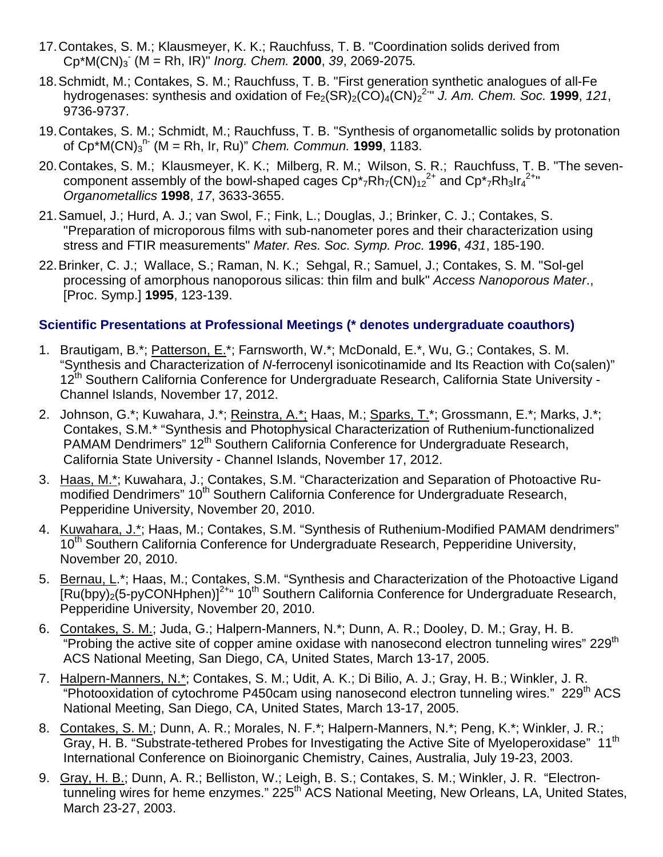- 17.Contakes, S. M.; Klausmeyer, K. K.; Rauchfuss, T. B. "Coordination solids derived from Cp\*M(CN)3 - (M = Rh, IR)" *Inorg. Chem.* **2000**, *39*, 2069-2075*.*
- 18.Schmidt, M.; Contakes, S. M.; Rauchfuss, T. B. "First generation synthetic analogues of all-Fe hydrogenases: synthesis and oxidation of Fe<sub>2</sub>(SR)<sub>2</sub>(CO)<sub>4</sub>(CN)<sub>2</sub><sup>2-</sup>" J. Am. Chem. Soc. 1999, 121, 9736-9737.
- 19.Contakes, S. M.; Schmidt, M.; Rauchfuss, T. B. "Synthesis of organometallic solids by protonation of Cp\*M(CN)3 n- (M = Rh, Ir, Ru)" *Chem. Commun.* **1999**, 1183.
- 20.Contakes, S. M.; Klausmeyer, K. K.; Milberg, R. M.; Wilson, S. R.; Rauchfuss, T. B. "The sevencomponent assembly of the bowl-shaped cages  $Cp^*$ <sub>7</sub>Rh<sub>7</sub>(CN)<sub>12</sub><sup>2+</sup> and  $Cp^*$ <sub>7</sub>Rh<sub>3</sub>Ir<sub>4</sub><sup>2+</sup>" *Organometallics* **1998**, *17*, 3633-3655.
- 21.Samuel, J.; Hurd, A. J.; van Swol, F.; Fink, L.; Douglas, J.; Brinker, C. J.; Contakes, S. "Preparation of microporous films with sub-nanometer pores and their characterization using stress and FTIR measurements" *Mater. Res. Soc. Symp. Proc.* **1996**, *431*, 185-190.
- 22.Brinker, C. J.; Wallace, S.; Raman, N. K.; Sehgal, R.; Samuel, J.; Contakes, S. M. "Sol-gel processing of amorphous nanoporous silicas: thin film and bulk" *Access Nanoporous Mater*., [Proc. Symp.] **1995**, 123-139.

## **Scientific Presentations at Professional Meetings (\* denotes undergraduate coauthors)**

- 1. Brautigam, B.\*; Patterson, E.\*; Farnsworth, W.\*; McDonald, E.\*, Wu, G.; Contakes, S. M. "Synthesis and Characterization of *N*-ferrocenyl isonicotinamide and Its Reaction with Co(salen)" 12<sup>th</sup> Southern California Conference for Undergraduate Research, California State University -Channel Islands, November 17, 2012.
- 2. Johnson, G.\*; Kuwahara, J.\*; Reinstra, A.\*; Haas, M.; Sparks, T.\*; Grossmann, E.\*; Marks, J.\*; Contakes, S.M.\* "Synthesis and Photophysical Characterization of Ruthenium-functionalized PAMAM Dendrimers" 12<sup>th</sup> Southern California Conference for Undergraduate Research, California State University - Channel Islands, November 17, 2012.
- 3. Haas, M.\*; Kuwahara, J.; Contakes, S.M. "Characterization and Separation of Photoactive Rumodified Dendrimers" 10<sup>th</sup> Southern California Conference for Undergraduate Research, Pepperidine University, November 20, 2010.
- 4. Kuwahara, J.\*; Haas, M.; Contakes, S.M. "Synthesis of Ruthenium-Modified PAMAM dendrimers" 10<sup>th</sup> Southern California Conference for Undergraduate Research, Pepperidine University, November 20, 2010.
- 5. Bernau, L.\*; Haas, M.; Contakes, S.M. "Synthesis and Characterization of the Photoactive Ligand  $\sqrt{\frac{Ru(bpy)}{2}}$ (5-pyCONHphen)]<sup>2+</sup> 10<sup>th</sup> Southern California Conference for Undergraduate Research, Pepperidine University, November 20, 2010.
- 6. Contakes, S. M.; Juda, G.; Halpern-Manners, N.\*; Dunn, A. R.; Dooley, D. M.; Gray, H. B. "Probing the active site of copper amine oxidase with nanosecond electron tunneling wires" 229<sup>th</sup> ACS National Meeting, San Diego, CA, United States, March 13-17, 2005.
- 7. Halpern-Manners, N.\*; Contakes, S. M.; Udit, A. K.; Di Bilio, A. J.; Gray, H. B.; Winkler, J. R. "Photooxidation of cytochrome P450cam using nanosecond electron tunneling wires." 229<sup>th</sup> ACS National Meeting, San Diego, CA, United States, March 13-17, 2005.
- 8. Contakes, S. M.; Dunn, A. R.; Morales, N. F.\*; Halpern-Manners, N.\*; Peng, K.\*; Winkler, J. R.; Gray, H. B. "Substrate-tethered Probes for Investigating the Active Site of Myeloperoxidase" 11<sup>th</sup> International Conference on Bioinorganic Chemistry, Caines, Australia, July 19-23, 2003.
- 9. Gray, H. B.; Dunn, A. R.; Belliston, W.; Leigh, B. S.; Contakes, S. M.; Winkler, J. R. "Electrontunneling wires for heme enzymes." 225<sup>th</sup> ACS National Meeting, New Orleans, LA, United States, March 23-27, 2003.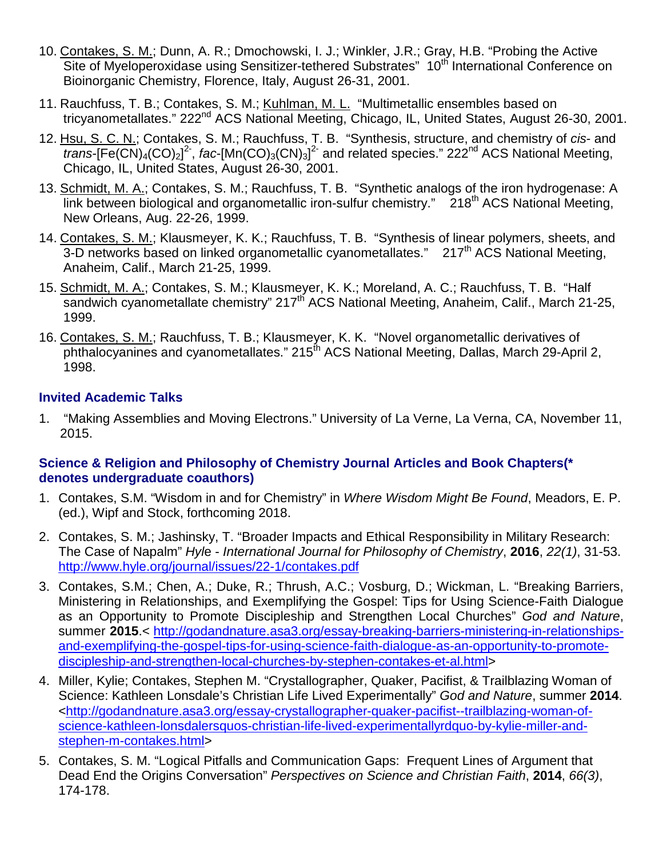- 10. Contakes, S. M.; Dunn, A. R.; Dmochowski, I. J.; Winkler, J.R.; Gray, H.B. "Probing the Active Site of Myeloperoxidase using Sensitizer-tethered Substrates" 10<sup>th</sup> International Conference on Bioinorganic Chemistry, Florence, Italy, August 26-31, 2001.
- 11. Rauchfuss, T. B.; Contakes, S. M.; Kuhlman, M. L. "Multimetallic ensembles based on tricyanometallates." 222<sup>nd</sup> ACS National Meeting, Chicago, IL, United States, August 26-30, 2001.
- 12. Hsu, S. C. N.; Contakes, S. M.; Rauchfuss, T. B. "Synthesis, structure, and chemistry of *cis* and  $trans$ <sup>[Fe(CN)<sub>4</sub>(CO)<sub>2</sub>]<sup>2</sup>, *fac*-[Mn(CO)<sub>3</sub>(CN)<sub>3</sub>]<sup>2-</sup> and related species." 222<sup>nd</sup> ACS National Meeting,</sup> Chicago, IL, United States, August 26-30, 2001.
- 13. Schmidt, M. A.; Contakes, S. M.; Rauchfuss, T. B. "Synthetic analogs of the iron hydrogenase: A link between biological and organometallic iron-sulfur chemistry."  $\bar{2}18^{th}$  ACS National Meeting, New Orleans, Aug. 22-26, 1999.
- 14. Contakes, S. M.; Klausmeyer, K. K.; Rauchfuss, T. B. "Synthesis of linear polymers, sheets, and 3-D networks based on linked organometallic cyanometallates."  $217<sup>th</sup>$  ACS National Meeting, Anaheim, Calif., March 21-25, 1999.
- 15. Schmidt, M. A.; Contakes, S. M.; Klausmeyer, K. K.; Moreland, A. C.; Rauchfuss, T. B. "Half sandwich cyanometallate chemistry" 217<sup>th</sup> ACS National Meeting, Anaheim, Calif., March 21-25, 1999.
- 16. Contakes, S. M.; Rauchfuss, T. B.; Klausmeyer, K. K. "Novel organometallic derivatives of  $p$ hthalocyanines and cyanometallates." 215<sup>th</sup> ACS National Meeting, Dallas, March 29-April 2, 1998.

## **Invited Academic Talks**

1. "Making Assemblies and Moving Electrons." University of La Verne, La Verna, CA, November 11, 2015.

## **Science & Religion and Philosophy of Chemistry Journal Articles and Book Chapters(\* denotes undergraduate coauthors)**

- 1. Contakes, S.M. "Wisdom in and for Chemistry" in *Where Wisdom Might Be Found*, Meadors, E. P. (ed.), Wipf and Stock, forthcoming 2018.
- 2. Contakes, S. M.; Jashinsky, T. "Broader Impacts and Ethical Responsibility in Military Research: The Case of Napalm" *Hyl*e - *International Journal for Philosophy of Chemistry*, **2016**, *22(1)*, 31-53. <http://www.hyle.org/journal/issues/22-1/contakes.pdf>
- 3. Contakes, S.M.; Chen, A.; Duke, R.; Thrush, A.C.; Vosburg, D.; Wickman, L. "Breaking Barriers, Ministering in Relationships, and Exemplifying the Gospel: Tips for Using Science-Faith Dialogue as an Opportunity to Promote Discipleship and Strengthen Local Churches" *God and Nature*, summer **2015**.< [http://godandnature.asa3.org/essay-breaking-barriers-ministering-in-relationships](http://godandnature.asa3.org/essay-breaking-barriers-ministering-in-relationships-and-exemplifying-the-gospel-tips-for-using-science-faith-dialogue-as-an-opportunity-to-promote-discipleship-and-strengthen-local-churches-by-stephen-contakes-et-al.html)[and-exemplifying-the-gospel-tips-for-using-science-faith-dialogue-as-an-opportunity-to-promote](http://godandnature.asa3.org/essay-breaking-barriers-ministering-in-relationships-and-exemplifying-the-gospel-tips-for-using-science-faith-dialogue-as-an-opportunity-to-promote-discipleship-and-strengthen-local-churches-by-stephen-contakes-et-al.html)[discipleship-and-strengthen-local-churches-by-stephen-contakes-et-al.html>](http://godandnature.asa3.org/essay-breaking-barriers-ministering-in-relationships-and-exemplifying-the-gospel-tips-for-using-science-faith-dialogue-as-an-opportunity-to-promote-discipleship-and-strengthen-local-churches-by-stephen-contakes-et-al.html)
- 4. Miller, Kylie; Contakes, Stephen M. "Crystallographer, Quaker, Pacifist, & Trailblazing Woman of Science: Kathleen Lonsdale's Christian Life Lived Experimentally" *God and Nature*, summer **2014**. [<http://godandnature.asa3.org/essay-crystallographer-quaker-pacifist--trailblazing-woman-of](http://godandnature.asa3.org/essay-crystallographer-quaker-pacifist--trailblazing-woman-of-science-kathleen-lonsdalersquos-christian-life-lived-experimentallyrdquo-by-kylie-miller-and-stephen-m-contakes.html)[science-kathleen-lonsdalersquos-christian-life-lived-experimentallyrdquo-by-kylie-miller-and](http://godandnature.asa3.org/essay-crystallographer-quaker-pacifist--trailblazing-woman-of-science-kathleen-lonsdalersquos-christian-life-lived-experimentallyrdquo-by-kylie-miller-and-stephen-m-contakes.html)[stephen-m-contakes.html>](http://godandnature.asa3.org/essay-crystallographer-quaker-pacifist--trailblazing-woman-of-science-kathleen-lonsdalersquos-christian-life-lived-experimentallyrdquo-by-kylie-miller-and-stephen-m-contakes.html)
- 5. Contakes, S. M. "Logical Pitfalls and Communication Gaps: Frequent Lines of Argument that Dead End the Origins Conversation" *Perspectives on Science and Christian Faith*, **2014**, *66(3)*, 174-178.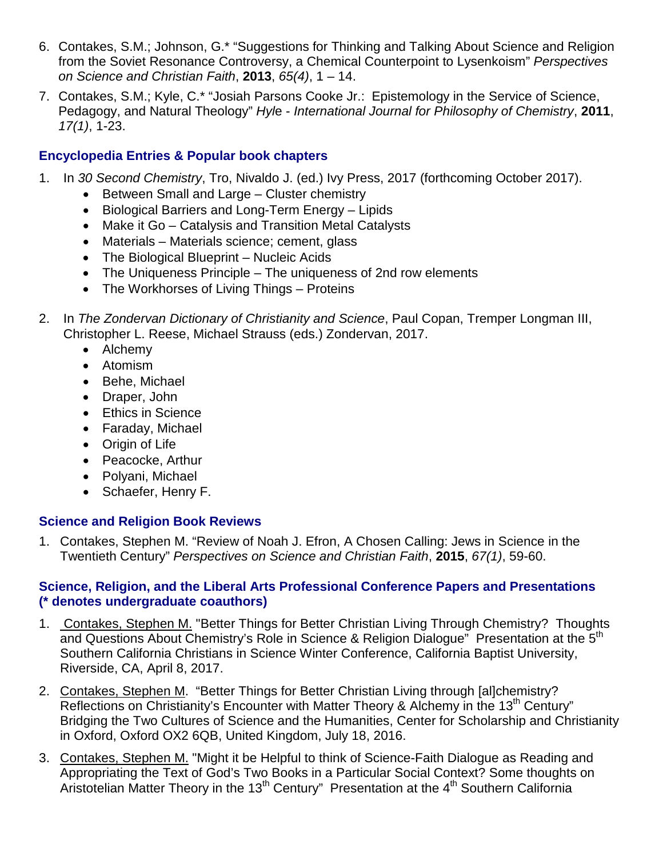- 6. Contakes, S.M.; Johnson, G.\* "Suggestions for Thinking and Talking About Science and Religion from the Soviet Resonance Controversy, a Chemical Counterpoint to Lysenkoism" *Perspectives on Science and Christian Faith*, **2013**, *65(4)*, 1 – 14.
- 7. Contakes, S.M.; Kyle, C.\* "Josiah Parsons Cooke Jr.: Epistemology in the Service of Science, Pedagogy, and Natural Theology" *Hyl*e - *International Journal for Philosophy of Chemistry*, **2011**, *17(1)*, 1-23.

## **Encyclopedia Entries & Popular book chapters**

- 1. In *30 Second Chemistry*, Tro, Nivaldo J. (ed.) Ivy Press, 2017 (forthcoming October 2017).
	- Between Small and Large Cluster chemistry
	- Biological Barriers and Long-Term Energy Lipids
	- Make it Go Catalysis and Transition Metal Catalysts
	- Materials Materials science; cement, glass
	- The Biological Blueprint Nucleic Acids
	- The Uniqueness Principle The uniqueness of 2nd row elements
	- The Workhorses of Living Things Proteins
- 2. In *The Zondervan Dictionary of Christianity and Science*, Paul Copan, Tremper Longman III, Christopher L. Reese, Michael Strauss (eds.) Zondervan, 2017.
	- Alchemy
	- Atomism
	- Behe, Michael
	- Draper, John
	- Ethics in Science
	- Faraday, Michael
	- Origin of Life
	- Peacocke, Arthur
	- Polyani, Michael
	- Schaefer, Henry F.

## **Science and Religion Book Reviews**

1. Contakes, Stephen M. "Review of Noah J. Efron, A Chosen Calling: Jews in Science in the Twentieth Century" *Perspectives on Science and Christian Faith*, **2015**, *67(1)*, 59-60.

#### **Science, Religion, and the Liberal Arts Professional Conference Papers and Presentations (\* denotes undergraduate coauthors)**

- 1. Contakes, Stephen M. "Better Things for Better Christian Living Through Chemistry? Thoughts and Questions About Chemistry's Role in Science & Religion Dialogue" Presentation at the 5<sup>th</sup> Southern California Christians in Science Winter Conference, California Baptist University, Riverside, CA, April 8, 2017.
- 2. Contakes, Stephen M. "Better Things for Better Christian Living through [al]chemistry? Reflections on Christianity's Encounter with Matter Theory & Alchemy in the 13<sup>th</sup> Century" Bridging the Two Cultures of Science and the Humanities, Center for Scholarship and Christianity in Oxford, Oxford OX2 6QB, United Kingdom, July 18, 2016.
- 3. Contakes, Stephen M. "Might it be Helpful to think of Science-Faith Dialogue as Reading and Appropriating the Text of God's Two Books in a Particular Social Context? Some thoughts on Aristotelian Matter Theory in the 13<sup>th</sup> Century" Presentation at the  $4<sup>th</sup>$  Southern California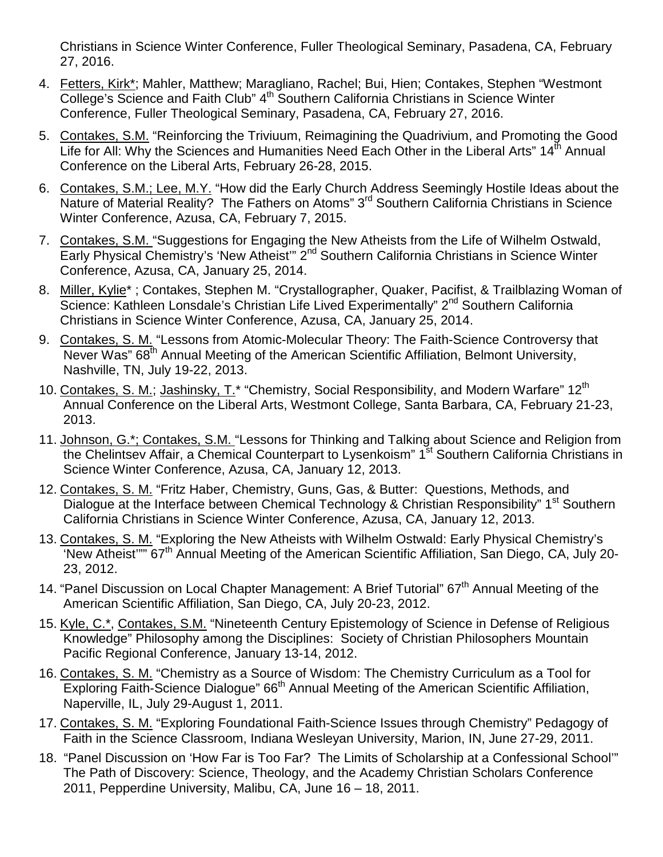Christians in Science Winter Conference, Fuller Theological Seminary, Pasadena, CA, February 27, 2016.

- 4. Fetters, Kirk\*; Mahler, Matthew; Maragliano, Rachel; Bui, Hien; Contakes, Stephen "Westmont College's Science and Faith Club" 4<sup>th</sup> Southern California Christians in Science Winter Conference, Fuller Theological Seminary, Pasadena, CA, February 27, 2016.
- 5. Contakes, S.M. "Reinforcing the Triviuum, Reimagining the Quadrivium, and Promoting the Good Life for All: Why the Sciences and Humanities Need Each Other in the Liberal Arts" 14<sup>th</sup> Annual Conference on the Liberal Arts, February 26-28, 2015.
- 6. Contakes, S.M.; Lee, M.Y. "How did the Early Church Address Seemingly Hostile Ideas about the Nature of Material Reality? The Fathers on Atoms" 3<sup>rd</sup> Southern California Christians in Science Winter Conference, Azusa, CA, February 7, 2015.
- 7. Contakes, S.M. "Suggestions for Engaging the New Atheists from the Life of Wilhelm Ostwald, Early Physical Chemistry's 'New Atheist'" 2<sup>nd</sup> Southern California Christians in Science Winter Conference, Azusa, CA, January 25, 2014.
- 8. Miller, Kylie\*; Contakes, Stephen M. "Crystallographer, Quaker, Pacifist, & Trailblazing Woman of Science: Kathleen Lonsdale's Christian Life Lived Experimentally" 2<sup>nd</sup> Southern California Christians in Science Winter Conference, Azusa, CA, January 25, 2014.
- 9. Contakes, S. M. "Lessons from Atomic-Molecular Theory: The Faith-Science Controversy that Never Was" 68<sup>th</sup> Annual Meeting of the American Scientific Affiliation, Belmont University, Nashville, TN, July 19-22, 2013.
- 10. Contakes, S. M.; Jashinsky, T.\* "Chemistry, Social Responsibility, and Modern Warfare"  $12<sup>th</sup>$ Annual Conference on the Liberal Arts, Westmont College, Santa Barbara, CA, February 21-23, 2013.
- 11. Johnson, G.\*; Contakes, S.M. "Lessons for Thinking and Talking about Science and Religion from the Chelintsev Affair, a Chemical Counterpart to Lysenkoism" 1<sup>st</sup> Southern California Christians in Science Winter Conference, Azusa, CA, January 12, 2013.
- 12. Contakes, S. M. "Fritz Haber, Chemistry, Guns, Gas, & Butter: Questions, Methods, and Dialogue at the Interface between Chemical Technology & Christian Responsibility" 1<sup>st</sup> Southern California Christians in Science Winter Conference, Azusa, CA, January 12, 2013.
- 13. Contakes, S. M. "Exploring the New Atheists with Wilhelm Ostwald: Early Physical Chemistry's 'New Atheist"" 67<sup>th</sup> Annual Meeting of the American Scientific Affiliation, San Diego, CA, July 20-23, 2012.
- 14. "Panel Discussion on Local Chapter Management: A Brief Tutorial" 67<sup>th</sup> Annual Meeting of the American Scientific Affiliation, San Diego, CA, July 20-23, 2012.
- 15. Kyle, C.\*, Contakes, S.M. "Nineteenth Century Epistemology of Science in Defense of Religious Knowledge" Philosophy among the Disciplines: Society of Christian Philosophers Mountain Pacific Regional Conference, January 13-14, 2012.
- 16. Contakes, S. M. "Chemistry as a Source of Wisdom: The Chemistry Curriculum as a Tool for Exploring Faith-Science Dialogue" 66<sup>th</sup> Annual Meeting of the American Scientific Affiliation, Naperville, IL, July 29-August 1, 2011.
- 17. Contakes, S. M. "Exploring Foundational Faith-Science Issues through Chemistry" Pedagogy of Faith in the Science Classroom, Indiana Wesleyan University, Marion, IN, June 27-29, 2011.
- 18. "Panel Discussion on 'How Far is Too Far? The Limits of Scholarship at a Confessional School'" The Path of Discovery: Science, Theology, and the Academy Christian Scholars Conference 2011, Pepperdine University, Malibu, CA, June 16 – 18, 2011.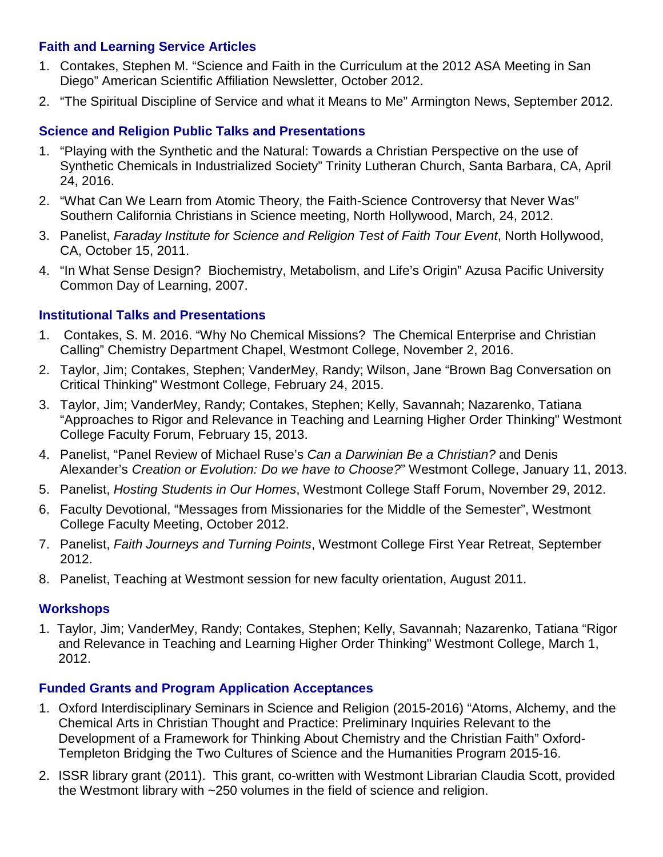## **Faith and Learning Service Articles**

- 1. Contakes, Stephen M. "Science and Faith in the Curriculum at the 2012 ASA Meeting in San Diego" American Scientific Affiliation Newsletter, October 2012.
- 2. "The Spiritual Discipline of Service and what it Means to Me" Armington News, September 2012.

## **Science and Religion Public Talks and Presentations**

- 1. "Playing with the Synthetic and the Natural: Towards a Christian Perspective on the use of Synthetic Chemicals in Industrialized Society" Trinity Lutheran Church, Santa Barbara, CA, April 24, 2016.
- 2. "What Can We Learn from Atomic Theory, the Faith-Science Controversy that Never Was" Southern California Christians in Science meeting, North Hollywood, March, 24, 2012.
- 3. Panelist, *Faraday Institute for Science and Religion Test of Faith Tour Event*, North Hollywood, CA, October 15, 2011.
- 4. "In What Sense Design? Biochemistry, Metabolism, and Life's Origin" Azusa Pacific University Common Day of Learning, 2007.

# **Institutional Talks and Presentations**

- 1. Contakes, S. M. 2016. "Why No Chemical Missions? The Chemical Enterprise and Christian Calling" Chemistry Department Chapel, Westmont College, November 2, 2016.
- 2. Taylor, Jim; Contakes, Stephen; VanderMey, Randy; Wilson, Jane "Brown Bag Conversation on Critical Thinking" Westmont College, February 24, 2015.
- 3. Taylor, Jim; VanderMey, Randy; Contakes, Stephen; Kelly, Savannah; Nazarenko, Tatiana "Approaches to Rigor and Relevance in Teaching and Learning Higher Order Thinking" Westmont College Faculty Forum, February 15, 2013.
- 4. Panelist, "Panel Review of Michael Ruse's *Can a Darwinian Be a Christian?* and Denis Alexander's *Creation or Evolution: Do we have to Choose?*" Westmont College, January 11, 2013.
- 5. Panelist, *Hosting Students in Our Homes*, Westmont College Staff Forum, November 29, 2012.
- 6. Faculty Devotional, "Messages from Missionaries for the Middle of the Semester", Westmont College Faculty Meeting, October 2012.
- 7. Panelist, *Faith Journeys and Turning Points*, Westmont College First Year Retreat, September 2012.
- 8. Panelist, Teaching at Westmont session for new faculty orientation, August 2011.

## **Workshops**

1. Taylor, Jim; VanderMey, Randy; Contakes, Stephen; Kelly, Savannah; Nazarenko, Tatiana "Rigor and Relevance in Teaching and Learning Higher Order Thinking" Westmont College, March 1, 2012.

## **Funded Grants and Program Application Acceptances**

- 1. Oxford Interdisciplinary Seminars in Science and Religion (2015-2016) "Atoms, Alchemy, and the Chemical Arts in Christian Thought and Practice: Preliminary Inquiries Relevant to the Development of a Framework for Thinking About Chemistry and the Christian Faith" Oxford-Templeton Bridging the Two Cultures of Science and the Humanities Program 2015-16.
- 2. ISSR library grant (2011). This grant, co-written with Westmont Librarian Claudia Scott, provided the Westmont library with ~250 volumes in the field of science and religion.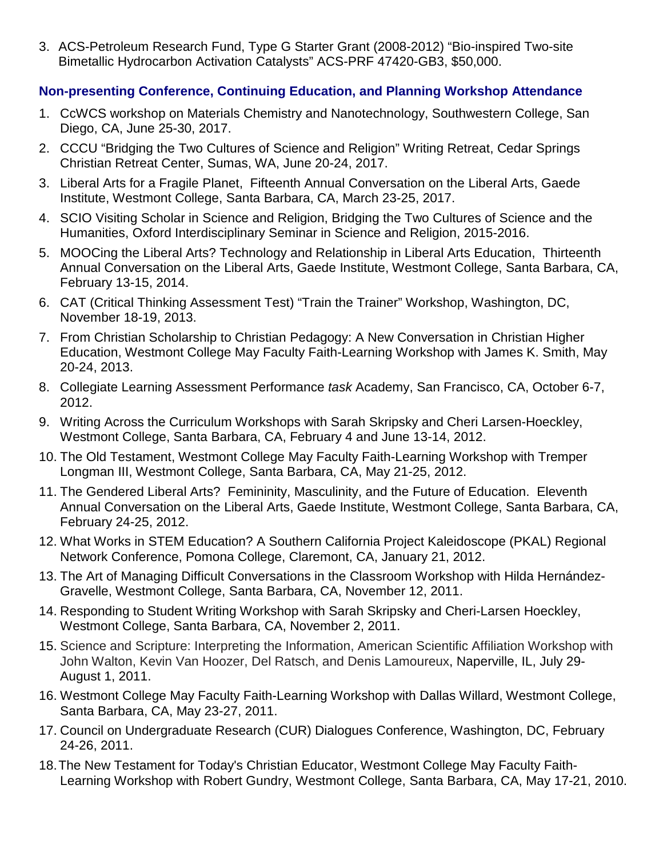3. ACS-Petroleum Research Fund, Type G Starter Grant (2008-2012) "Bio-inspired Two-site Bimetallic Hydrocarbon Activation Catalysts" ACS-PRF 47420-GB3, \$50,000.

## **Non-presenting Conference, Continuing Education, and Planning Workshop Attendance**

- 1. CcWCS workshop on Materials Chemistry and Nanotechnology, Southwestern College, San Diego, CA, June 25-30, 2017.
- 2. CCCU "Bridging the Two Cultures of Science and Religion" Writing Retreat, Cedar Springs Christian Retreat Center, Sumas, WA, June 20-24, 2017.
- 3. Liberal Arts for a Fragile Planet, Fifteenth Annual Conversation on the Liberal Arts, Gaede Institute, Westmont College, Santa Barbara, CA, March 23-25, 2017.
- 4. SCIO Visiting Scholar in Science and Religion, Bridging the Two Cultures of Science and the Humanities, Oxford Interdisciplinary Seminar in Science and Religion, 2015-2016.
- 5. MOOCing the Liberal Arts? Technology and Relationship in Liberal Arts Education, Thirteenth Annual Conversation on the Liberal Arts, Gaede Institute, Westmont College, Santa Barbara, CA, February 13-15, 2014.
- 6. CAT (Critical Thinking Assessment Test) "Train the Trainer" Workshop, Washington, DC, November 18-19, 2013.
- 7. From Christian Scholarship to Christian Pedagogy: A New Conversation in Christian Higher Education, Westmont College May Faculty Faith-Learning Workshop with James K. Smith, May 20-24, 2013.
- 8. Collegiate Learning Assessment Performance *task* Academy, San Francisco, CA, October 6-7, 2012.
- 9. Writing Across the Curriculum Workshops with Sarah Skripsky and Cheri Larsen-Hoeckley, Westmont College, Santa Barbara, CA, February 4 and June 13-14, 2012.
- 10. The Old Testament, Westmont College May Faculty Faith-Learning Workshop with Tremper Longman III, Westmont College, Santa Barbara, CA, May 21-25, 2012.
- 11. The Gendered Liberal Arts? Femininity, Masculinity, and the Future of Education. Eleventh Annual Conversation on the Liberal Arts, Gaede Institute, Westmont College, Santa Barbara, CA, February 24-25, 2012.
- 12. What Works in STEM Education? A Southern California Project Kaleidoscope (PKAL) Regional Network Conference, Pomona College, Claremont, CA, January 21, 2012.
- 13. The Art of Managing Difficult Conversations in the Classroom Workshop with Hilda Hernández-Gravelle, Westmont College, Santa Barbara, CA, November 12, 2011.
- 14. Responding to Student Writing Workshop with Sarah Skripsky and Cheri-Larsen Hoeckley, Westmont College, Santa Barbara, CA, November 2, 2011.
- 15. Science and Scripture: Interpreting the Information, American Scientific Affiliation Workshop with John Walton, Kevin Van Hoozer, Del Ratsch, and Denis Lamoureux, Naperville, IL, July 29- August 1, 2011.
- 16. Westmont College May Faculty Faith-Learning Workshop with Dallas Willard, Westmont College, Santa Barbara, CA, May 23-27, 2011.
- 17. Council on Undergraduate Research (CUR) Dialogues Conference, Washington, DC, February 24-26, 2011.
- 18.The New Testament for Today's Christian Educator, Westmont College May Faculty Faith-Learning Workshop with Robert Gundry, Westmont College, Santa Barbara, CA, May 17-21, 2010.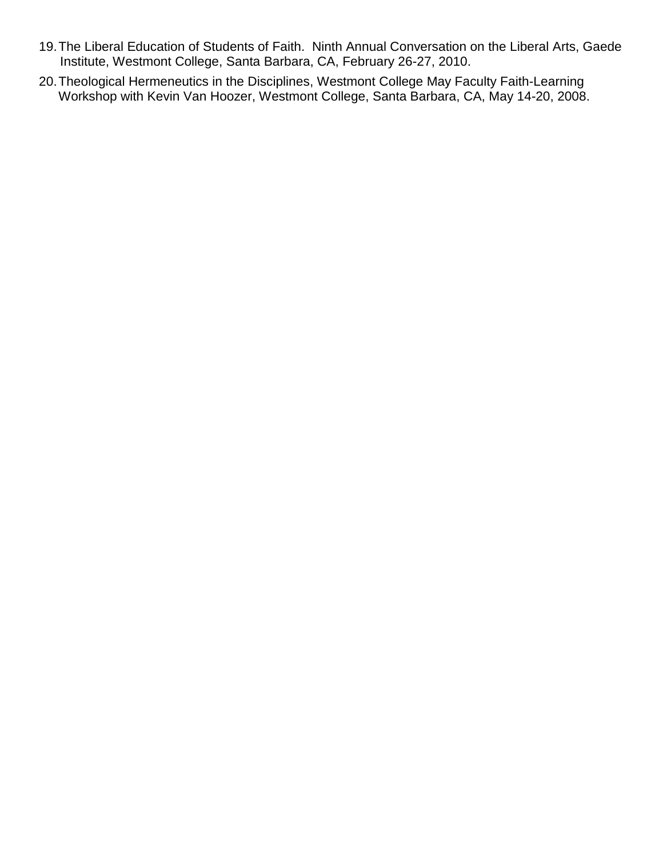- 19.The Liberal Education of Students of Faith. Ninth Annual Conversation on the Liberal Arts, Gaede Institute, Westmont College, Santa Barbara, CA, February 26-27, 2010.
- 20.Theological Hermeneutics in the Disciplines, Westmont College May Faculty Faith-Learning Workshop with Kevin Van Hoozer, Westmont College, Santa Barbara, CA, May 14-20, 2008.